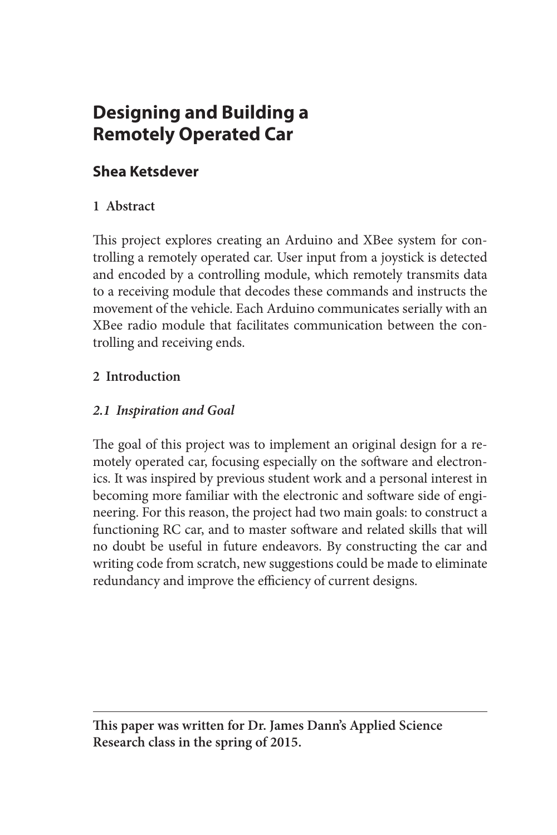# **Designing and Building a Remotely Operated Car**

## **Shea Ketsdever**

### **1 Abstract**

This project explores creating an Arduino and XBee system for controlling a remotely operated car. User input from a joystick is detected and encoded by a controlling module, which remotely transmits data to a receiving module that decodes these commands and instructs the movement of the vehicle. Each Arduino communicates serially with an XBee radio module that facilitates communication between the controlling and receiving ends.

#### **2 Introduction**

#### *2.1 Inspiration and Goal*

The goal of this project was to implement an original design for a remotely operated car, focusing especially on the software and electronics. It was inspired by previous student work and a personal interest in becoming more familiar with the electronic and software side of engineering. For this reason, the project had two main goals: to construct a functioning RC car, and to master software and related skills that will no doubt be useful in future endeavors. By constructing the car and writing code from scratch, new suggestions could be made to eliminate redundancy and improve the efficiency of current designs.

**This paper was written for Dr. James Dann's Applied Science Research class in the spring of 2015.**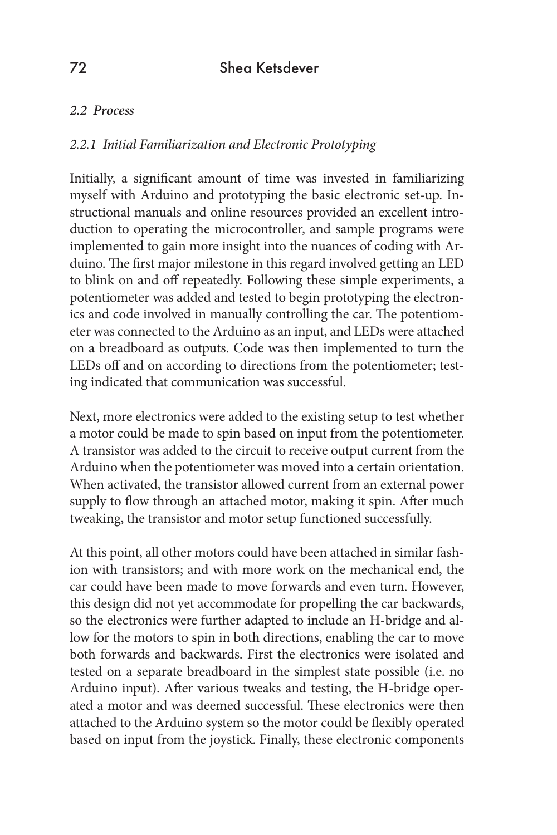### 72 Shea Ketsdever

#### *2.2 Process*

#### *2.2.1 Initial Familiarization and Electronic Prototyping*

Initially, a significant amount of time was invested in familiarizing myself with Arduino and prototyping the basic electronic set-up. Instructional manuals and online resources provided an excellent introduction to operating the microcontroller, and sample programs were implemented to gain more insight into the nuances of coding with Arduino. The first major milestone in this regard involved getting an LED to blink on and off repeatedly. Following these simple experiments, a potentiometer was added and tested to begin prototyping the electronics and code involved in manually controlling the car. The potentiometer was connected to the Arduino as an input, and LEDs were attached on a breadboard as outputs. Code was then implemented to turn the LEDs off and on according to directions from the potentiometer; testing indicated that communication was successful.

Next, more electronics were added to the existing setup to test whether a motor could be made to spin based on input from the potentiometer. A transistor was added to the circuit to receive output current from the Arduino when the potentiometer was moved into a certain orientation. When activated, the transistor allowed current from an external power supply to flow through an attached motor, making it spin. After much tweaking, the transistor and motor setup functioned successfully.

At this point, all other motors could have been attached in similar fashion with transistors; and with more work on the mechanical end, the car could have been made to move forwards and even turn. However, this design did not yet accommodate for propelling the car backwards, so the electronics were further adapted to include an H-bridge and allow for the motors to spin in both directions, enabling the car to move both forwards and backwards. First the electronics were isolated and tested on a separate breadboard in the simplest state possible (i.e. no Arduino input). After various tweaks and testing, the H-bridge operated a motor and was deemed successful. These electronics were then attached to the Arduino system so the motor could be flexibly operated based on input from the joystick. Finally, these electronic components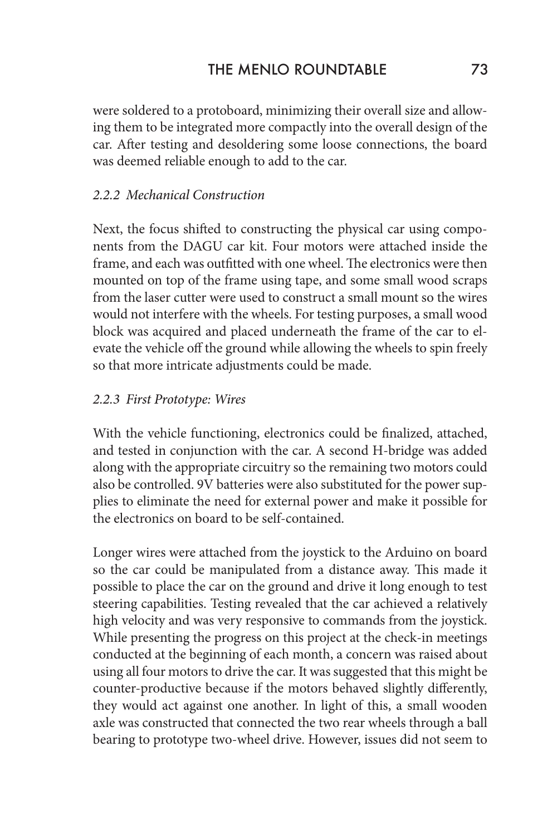were soldered to a protoboard, minimizing their overall size and allowing them to be integrated more compactly into the overall design of the car. After testing and desoldering some loose connections, the board was deemed reliable enough to add to the car.

#### *2.2.2 Mechanical Construction*

Next, the focus shifted to constructing the physical car using components from the DAGU car kit. Four motors were attached inside the frame, and each was outfitted with one wheel. The electronics were then mounted on top of the frame using tape, and some small wood scraps from the laser cutter were used to construct a small mount so the wires would not interfere with the wheels. For testing purposes, a small wood block was acquired and placed underneath the frame of the car to elevate the vehicle off the ground while allowing the wheels to spin freely so that more intricate adjustments could be made.

#### *2.2.3 First Prototype: Wires*

With the vehicle functioning, electronics could be finalized, attached, and tested in conjunction with the car. A second H-bridge was added along with the appropriate circuitry so the remaining two motors could also be controlled. 9V batteries were also substituted for the power supplies to eliminate the need for external power and make it possible for the electronics on board to be self-contained.

Longer wires were attached from the joystick to the Arduino on board so the car could be manipulated from a distance away. This made it possible to place the car on the ground and drive it long enough to test steering capabilities. Testing revealed that the car achieved a relatively high velocity and was very responsive to commands from the joystick. While presenting the progress on this project at the check-in meetings conducted at the beginning of each month, a concern was raised about using all four motors to drive the car. It was suggested that this might be counter-productive because if the motors behaved slightly differently, they would act against one another. In light of this, a small wooden axle was constructed that connected the two rear wheels through a ball bearing to prototype two-wheel drive. However, issues did not seem to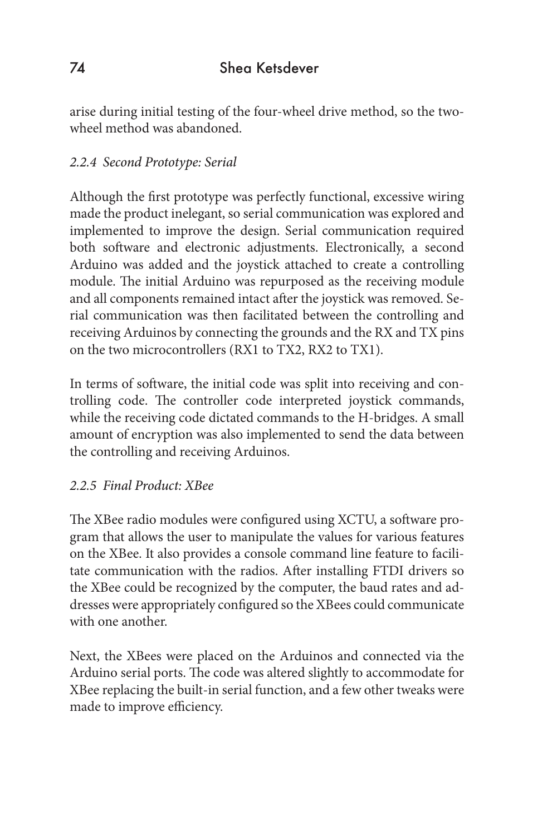arise during initial testing of the four-wheel drive method, so the twowheel method was abandoned.

#### *2.2.4 Second Prototype: Serial*

Although the first prototype was perfectly functional, excessive wiring made the product inelegant, so serial communication was explored and implemented to improve the design. Serial communication required both software and electronic adjustments. Electronically, a second Arduino was added and the joystick attached to create a controlling module. The initial Arduino was repurposed as the receiving module and all components remained intact after the joystick was removed. Serial communication was then facilitated between the controlling and receiving Arduinos by connecting the grounds and the RX and TX pins on the two microcontrollers (RX1 to TX2, RX2 to TX1).

In terms of software, the initial code was split into receiving and controlling code. The controller code interpreted joystick commands, while the receiving code dictated commands to the H-bridges. A small amount of encryption was also implemented to send the data between the controlling and receiving Arduinos.

#### *2.2.5 Final Product: XBee*

The XBee radio modules were configured using XCTU, a software program that allows the user to manipulate the values for various features on the XBee. It also provides a console command line feature to facilitate communication with the radios. After installing FTDI drivers so the XBee could be recognized by the computer, the baud rates and addresses were appropriately configured so the XBees could communicate with one another.

Next, the XBees were placed on the Arduinos and connected via the Arduino serial ports. The code was altered slightly to accommodate for XBee replacing the built-in serial function, and a few other tweaks were made to improve efficiency.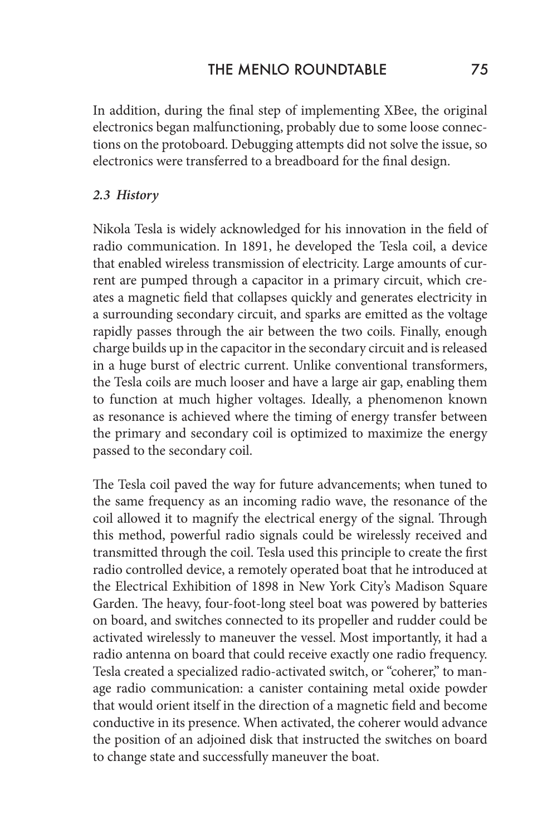In addition, during the final step of implementing XBee, the original electronics began malfunctioning, probably due to some loose connections on the protoboard. Debugging attempts did not solve the issue, so electronics were transferred to a breadboard for the final design.

#### *2.3 History*

Nikola Tesla is widely acknowledged for his innovation in the field of radio communication. In 1891, he developed the Tesla coil, a device that enabled wireless transmission of electricity. Large amounts of current are pumped through a capacitor in a primary circuit, which creates a magnetic field that collapses quickly and generates electricity in a surrounding secondary circuit, and sparks are emitted as the voltage rapidly passes through the air between the two coils. Finally, enough charge builds up in the capacitor in the secondary circuit and is released in a huge burst of electric current. Unlike conventional transformers, the Tesla coils are much looser and have a large air gap, enabling them to function at much higher voltages. Ideally, a phenomenon known as resonance is achieved where the timing of energy transfer between the primary and secondary coil is optimized to maximize the energy passed to the secondary coil.

The Tesla coil paved the way for future advancements; when tuned to the same frequency as an incoming radio wave, the resonance of the coil allowed it to magnify the electrical energy of the signal. Through this method, powerful radio signals could be wirelessly received and transmitted through the coil. Tesla used this principle to create the first radio controlled device, a remotely operated boat that he introduced at the Electrical Exhibition of 1898 in New York City's Madison Square Garden. The heavy, four-foot-long steel boat was powered by batteries on board, and switches connected to its propeller and rudder could be activated wirelessly to maneuver the vessel. Most importantly, it had a radio antenna on board that could receive exactly one radio frequency. Tesla created a specialized radio-activated switch, or "coherer," to manage radio communication: a canister containing metal oxide powder that would orient itself in the direction of a magnetic field and become conductive in its presence. When activated, the coherer would advance the position of an adjoined disk that instructed the switches on board to change state and successfully maneuver the boat.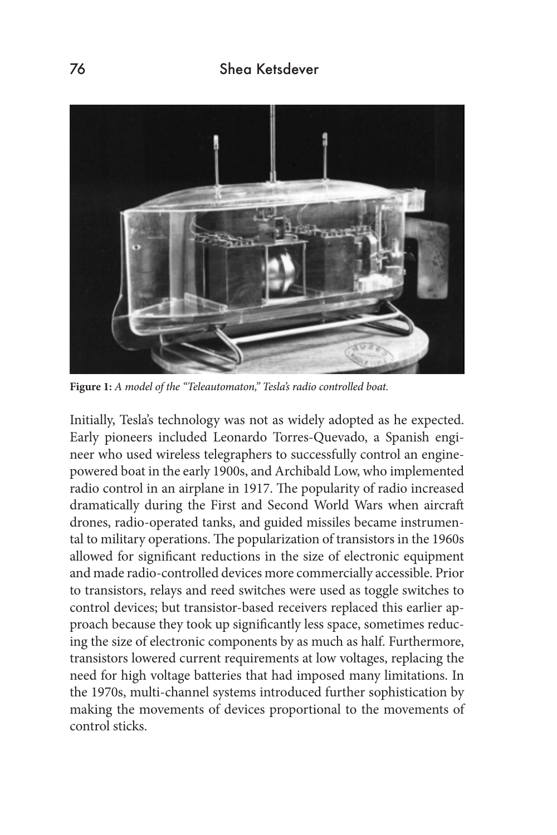

**Figure 1:** *A model of the "Teleautomaton," Tesla's radio controlled boat.*

Initially, Tesla's technology was not as widely adopted as he expected. Early pioneers included Leonardo Torres-Quevado, a Spanish engineer who used wireless telegraphers to successfully control an enginepowered boat in the early 1900s, and Archibald Low, who implemented radio control in an airplane in 1917. The popularity of radio increased dramatically during the First and Second World Wars when aircraft drones, radio-operated tanks, and guided missiles became instrumental to military operations. The popularization of transistors in the 1960s allowed for significant reductions in the size of electronic equipment and made radio-controlled devices more commercially accessible. Prior to transistors, relays and reed switches were used as toggle switches to control devices; but transistor-based receivers replaced this earlier approach because they took up significantly less space, sometimes reducing the size of electronic components by as much as half. Furthermore, transistors lowered current requirements at low voltages, replacing the need for high voltage batteries that had imposed many limitations. In the 1970s, multi-channel systems introduced further sophistication by making the movements of devices proportional to the movements of control sticks.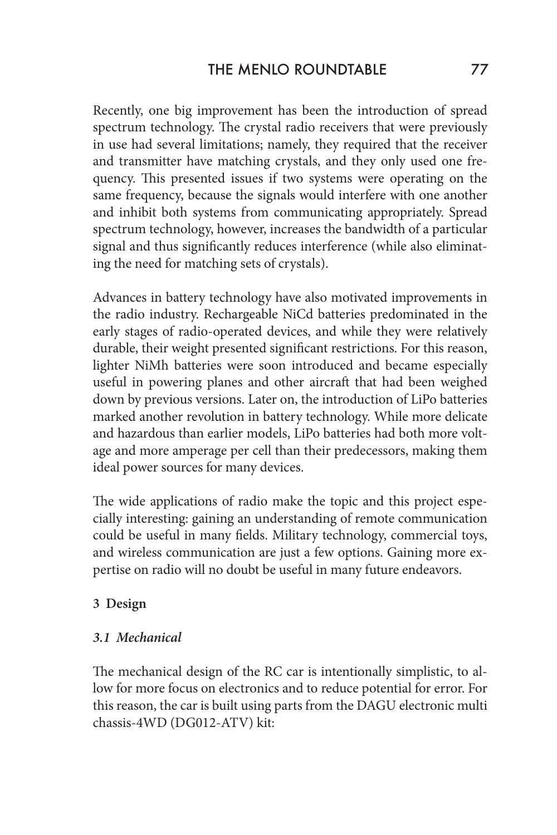Recently, one big improvement has been the introduction of spread spectrum technology. The crystal radio receivers that were previously in use had several limitations; namely, they required that the receiver and transmitter have matching crystals, and they only used one frequency. This presented issues if two systems were operating on the same frequency, because the signals would interfere with one another and inhibit both systems from communicating appropriately. Spread spectrum technology, however, increases the bandwidth of a particular signal and thus significantly reduces interference (while also eliminating the need for matching sets of crystals).

Advances in battery technology have also motivated improvements in the radio industry. Rechargeable NiCd batteries predominated in the early stages of radio-operated devices, and while they were relatively durable, their weight presented significant restrictions. For this reason, lighter NiMh batteries were soon introduced and became especially useful in powering planes and other aircraft that had been weighed down by previous versions. Later on, the introduction of LiPo batteries marked another revolution in battery technology. While more delicate and hazardous than earlier models, LiPo batteries had both more voltage and more amperage per cell than their predecessors, making them ideal power sources for many devices.

The wide applications of radio make the topic and this project especially interesting: gaining an understanding of remote communication could be useful in many fields. Military technology, commercial toys, and wireless communication are just a few options. Gaining more expertise on radio will no doubt be useful in many future endeavors.

#### **3 Design**

#### *3.1 Mechanical*

The mechanical design of the RC car is intentionally simplistic, to allow for more focus on electronics and to reduce potential for error. For this reason, the car is built using parts from the DAGU electronic multi chassis-4WD (DG012-ATV) kit: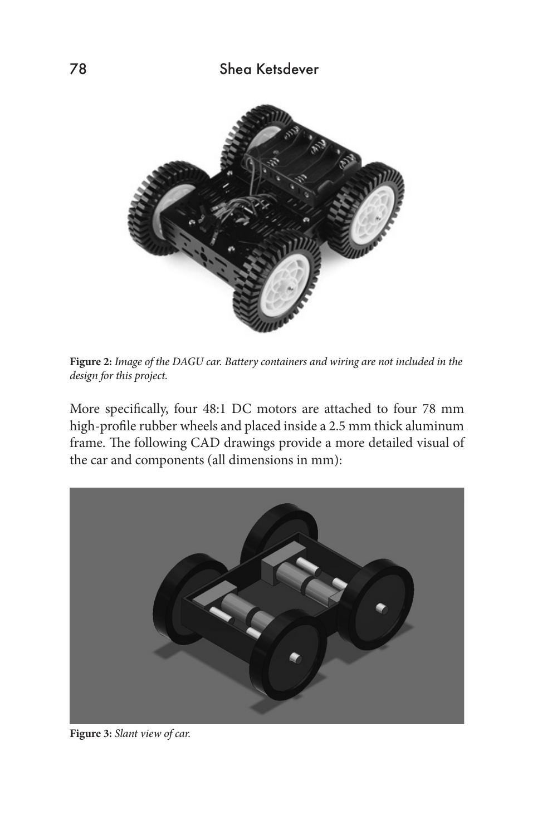

**Figure 2:** *Image of the DAGU car. Battery containers and wiring are not included in the design for this project.* 

More specifically, four 48:1 DC motors are attached to four 78 mm high-profile rubber wheels and placed inside a 2.5 mm thick aluminum frame. The following CAD drawings provide a more detailed visual of the car and components (all dimensions in mm):



**Figure 3:** *Slant view of car.*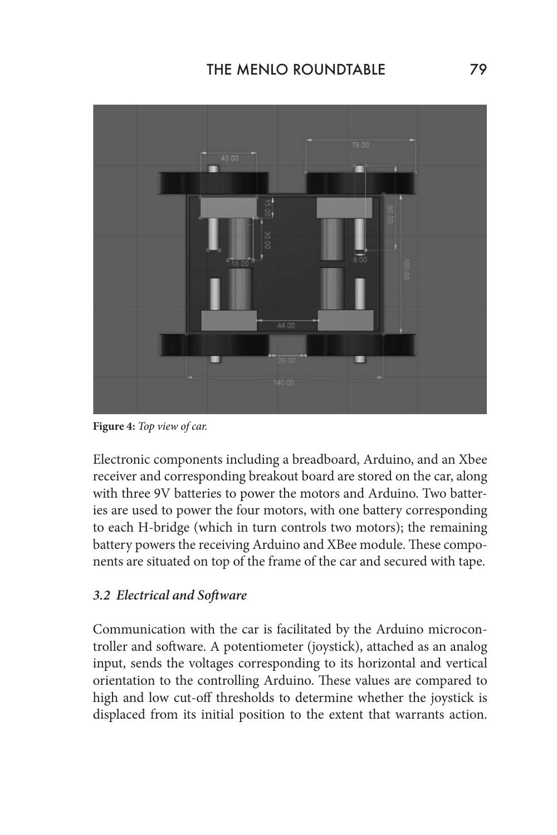

**Figure 4:** *Top view of car.*

Electronic components including a breadboard, Arduino, and an Xbee receiver and corresponding breakout board are stored on the car, along with three 9V batteries to power the motors and Arduino. Two batteries are used to power the four motors, with one battery corresponding to each H-bridge (which in turn controls two motors); the remaining battery powers the receiving Arduino and XBee module. These components are situated on top of the frame of the car and secured with tape.

#### *3.2 Electrical and Software*

Communication with the car is facilitated by the Arduino microcontroller and software. A potentiometer (joystick), attached as an analog input, sends the voltages corresponding to its horizontal and vertical orientation to the controlling Arduino. These values are compared to high and low cut-off thresholds to determine whether the joystick is displaced from its initial position to the extent that warrants action.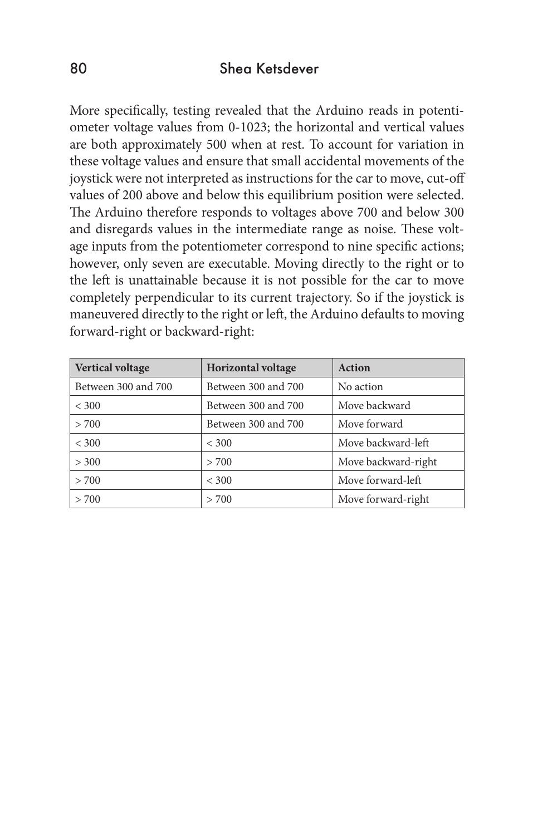#### 80 Shea Ketsdever

More specifically, testing revealed that the Arduino reads in potentiometer voltage values from 0-1023; the horizontal and vertical values are both approximately 500 when at rest. To account for variation in these voltage values and ensure that small accidental movements of the joystick were not interpreted as instructions for the car to move, cut-off values of 200 above and below this equilibrium position were selected. The Arduino therefore responds to voltages above 700 and below 300 and disregards values in the intermediate range as noise. These voltage inputs from the potentiometer correspond to nine specific actions; however, only seven are executable. Moving directly to the right or to the left is unattainable because it is not possible for the car to move completely perpendicular to its current trajectory. So if the joystick is maneuvered directly to the right or left, the Arduino defaults to moving forward-right or backward-right:

| <b>Vertical voltage</b> | <b>Horizontal voltage</b> | Action              |
|-------------------------|---------------------------|---------------------|
| Between 300 and 700     | Between 300 and 700       | No action           |
| < 300                   | Between 300 and 700       | Move backward       |
| > 700                   | Between 300 and 700       | Move forward        |
| < 300                   | < 300                     | Move backward-left  |
| > 300                   | > 700                     | Move backward-right |
| > 700                   | < 300                     | Move forward-left   |
| > 700                   | > 700                     | Move forward-right  |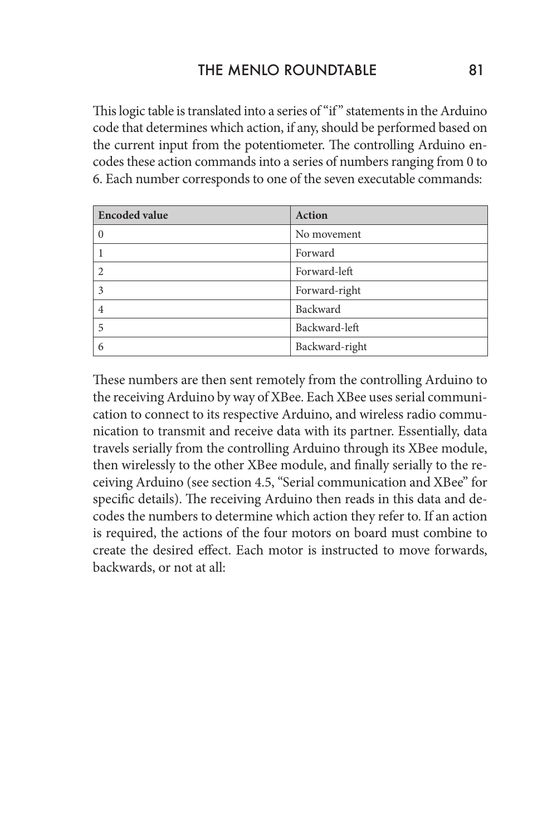This logic table is translated into a series of "if" statements in the Arduino code that determines which action, if any, should be performed based on the current input from the potentiometer. The controlling Arduino encodes these action commands into a series of numbers ranging from 0 to 6. Each number corresponds to one of the seven executable commands:

| <b>Encoded value</b> | <b>Action</b>  |
|----------------------|----------------|
| $\Omega$             | No movement    |
|                      | Forward        |
| $\mathcal{D}$        | Forward-left   |
| 3                    | Forward-right  |
| 4                    | Backward       |
| 5                    | Backward-left  |
| 6                    | Backward-right |

These numbers are then sent remotely from the controlling Arduino to the receiving Arduino by way of XBee. Each XBee uses serial communication to connect to its respective Arduino, and wireless radio communication to transmit and receive data with its partner. Essentially, data travels serially from the controlling Arduino through its XBee module, then wirelessly to the other XBee module, and finally serially to the receiving Arduino (see section 4.5, "Serial communication and XBee" for specific details). The receiving Arduino then reads in this data and decodes the numbers to determine which action they refer to. If an action is required, the actions of the four motors on board must combine to create the desired effect. Each motor is instructed to move forwards, backwards, or not at all: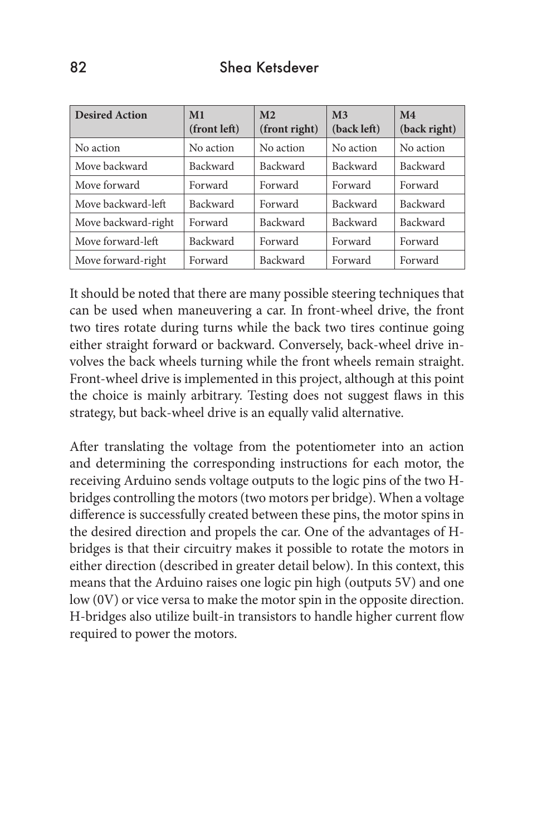| <b>Desired Action</b> | M <sub>1</sub><br>(front left) | M <sub>2</sub><br>(front right) | M <sub>3</sub><br>(back left) | M <sub>4</sub><br>(back right) |
|-----------------------|--------------------------------|---------------------------------|-------------------------------|--------------------------------|
| No action             | No action                      | No action                       | No action                     | No action                      |
| Move backward         | <b>Backward</b>                | Backward                        | Backward                      | Backward                       |
| Move forward          | Forward                        | Forward                         | Forward                       | Forward                        |
| Move backward-left    | <b>Backward</b>                | Forward                         | Backward                      | Backward                       |
| Move backward-right   | Forward                        | Backward                        | Backward                      | Backward                       |
| Move forward-left     | <b>Backward</b>                | Forward                         | Forward                       | Forward                        |
| Move forward-right    | Forward                        | Backward                        | Forward                       | Forward                        |

It should be noted that there are many possible steering techniques that can be used when maneuvering a car. In front-wheel drive, the front two tires rotate during turns while the back two tires continue going either straight forward or backward. Conversely, back-wheel drive involves the back wheels turning while the front wheels remain straight. Front-wheel drive is implemented in this project, although at this point the choice is mainly arbitrary. Testing does not suggest flaws in this strategy, but back-wheel drive is an equally valid alternative.

After translating the voltage from the potentiometer into an action and determining the corresponding instructions for each motor, the receiving Arduino sends voltage outputs to the logic pins of the two Hbridges controlling the motors (two motors per bridge). When a voltage difference is successfully created between these pins, the motor spins in the desired direction and propels the car. One of the advantages of Hbridges is that their circuitry makes it possible to rotate the motors in either direction (described in greater detail below). In this context, this means that the Arduino raises one logic pin high (outputs 5V) and one low (0V) or vice versa to make the motor spin in the opposite direction. H-bridges also utilize built-in transistors to handle higher current flow required to power the motors.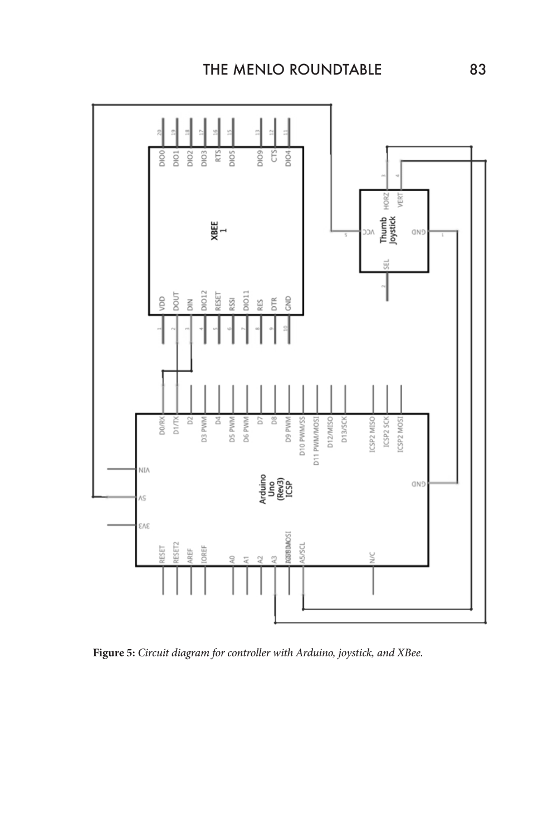

**Figure 5:** *Circuit diagram for controller with Arduino, joystick, and XBee.*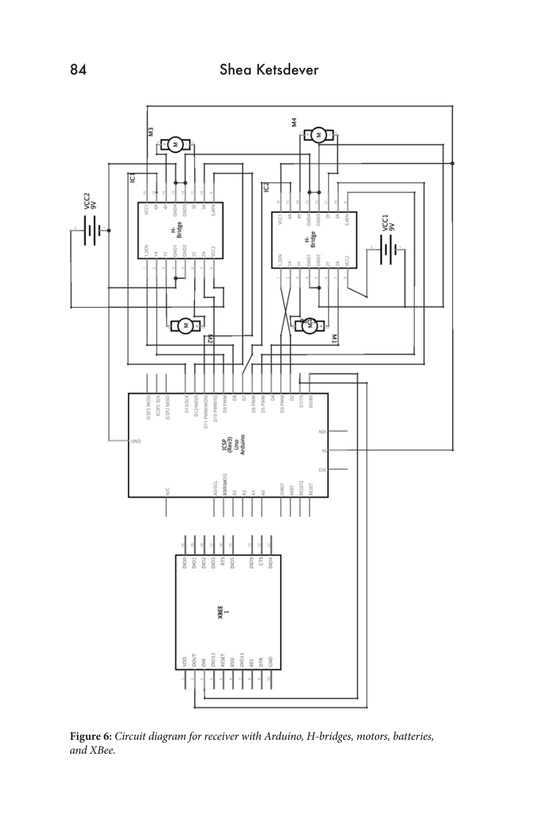

**Figure 6:** *Circuit diagram for receiver with Arduino, H-bridges, motors, batteries, and XBee.*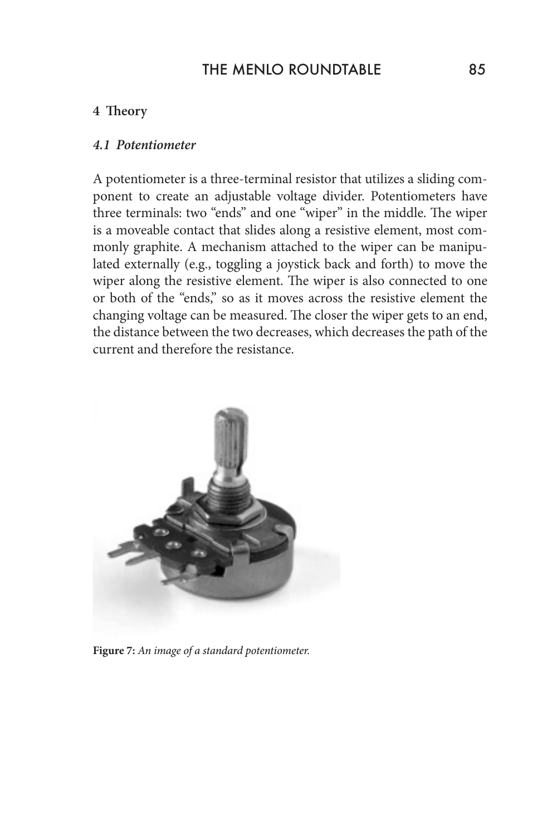#### THE MENIO ROUNDTABLE 85

#### **4 Theory**

#### *4.1 Potentiometer*

A potentiometer is a three-terminal resistor that utilizes a sliding component to create an adjustable voltage divider. Potentiometers have three terminals: two "ends" and one "wiper" in the middle. The wiper is a moveable contact that slides along a resistive element, most commonly graphite. A mechanism attached to the wiper can be manipulated externally (e.g., toggling a joystick back and forth) to move the wiper along the resistive element. The wiper is also connected to one or both of the "ends," so as it moves across the resistive element the changing voltage can be measured. The closer the wiper gets to an end, the distance between the two decreases, which decreases the path of the current and therefore the resistance.



**Figure 7:** *An image of a standard potentiometer.*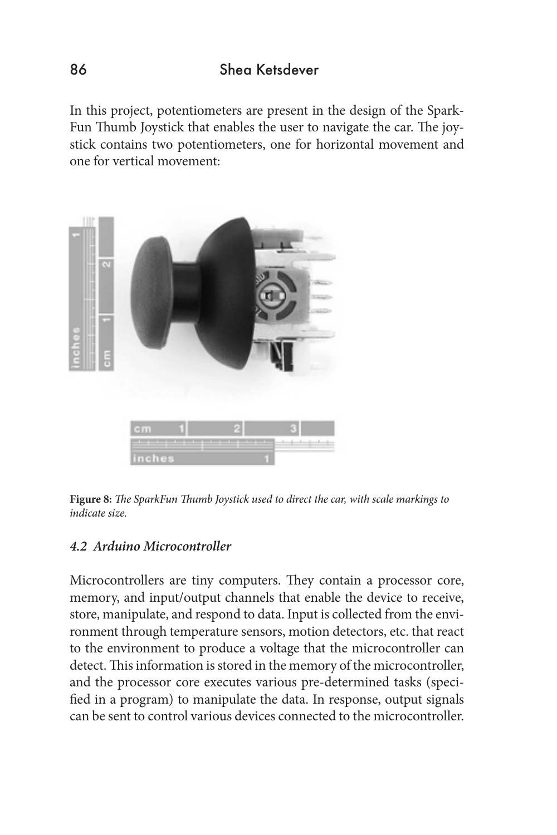In this project, potentiometers are present in the design of the Spark-Fun Thumb Joystick that enables the user to navigate the car. The joystick contains two potentiometers, one for horizontal movement and one for vertical movement:



**Figure 8:** *The SparkFun Thumb Joystick used to direct the car, with scale markings to indicate size.* 

#### *4.2 Arduino Microcontroller*

Microcontrollers are tiny computers. They contain a processor core, memory, and input/output channels that enable the device to receive, store, manipulate, and respond to data. Input is collected from the environment through temperature sensors, motion detectors, etc. that react to the environment to produce a voltage that the microcontroller can detect. This information is stored in the memory of the microcontroller, and the processor core executes various pre-determined tasks (specified in a program) to manipulate the data. In response, output signals can be sent to control various devices connected to the microcontroller.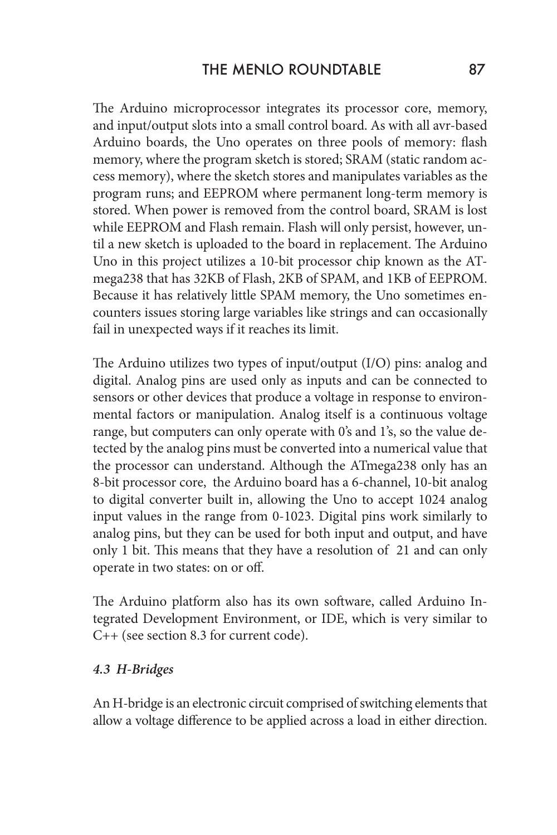The Arduino microprocessor integrates its processor core, memory, and input/output slots into a small control board. As with all avr-based Arduino boards, the Uno operates on three pools of memory: flash memory, where the program sketch is stored; SRAM (static random access memory), where the sketch stores and manipulates variables as the program runs; and EEPROM where permanent long-term memory is stored. When power is removed from the control board, SRAM is lost while EEPROM and Flash remain. Flash will only persist, however, until a new sketch is uploaded to the board in replacement. The Arduino Uno in this project utilizes a 10-bit processor chip known as the ATmega238 that has 32KB of Flash, 2KB of SPAM, and 1KB of EEPROM. Because it has relatively little SPAM memory, the Uno sometimes encounters issues storing large variables like strings and can occasionally fail in unexpected ways if it reaches its limit.

The Arduino utilizes two types of input/output (I/O) pins: analog and digital. Analog pins are used only as inputs and can be connected to sensors or other devices that produce a voltage in response to environmental factors or manipulation. Analog itself is a continuous voltage range, but computers can only operate with 0's and 1's, so the value detected by the analog pins must be converted into a numerical value that the processor can understand. Although the ATmega238 only has an 8-bit processor core, the Arduino board has a 6-channel, 10-bit analog to digital converter built in, allowing the Uno to accept 1024 analog input values in the range from 0-1023. Digital pins work similarly to analog pins, but they can be used for both input and output, and have only 1 bit. This means that they have a resolution of 21 and can only operate in two states: on or off.

The Arduino platform also has its own software, called Arduino Integrated Development Environment, or IDE, which is very similar to C++ (see section 8.3 for current code).

#### *4.3 H-Bridges*

An H-bridge is an electronic circuit comprised of switching elements that allow a voltage difference to be applied across a load in either direction.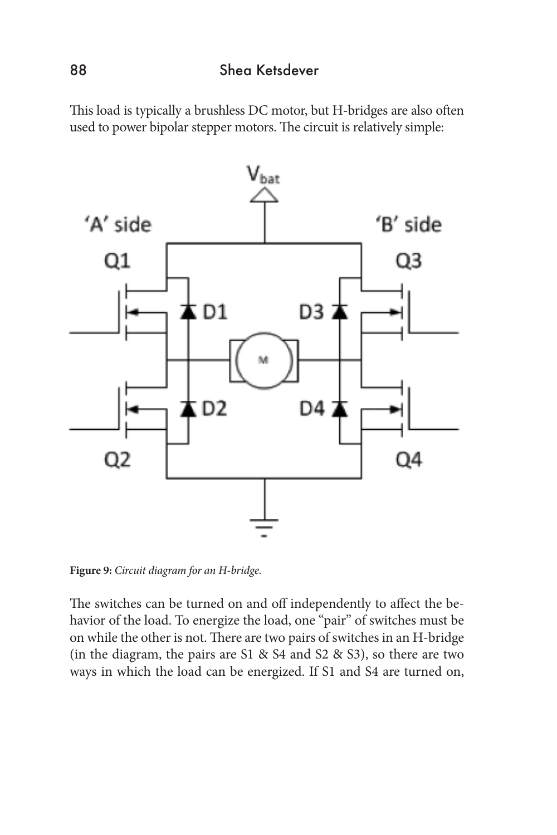#### 88 Shea Ketsdever

This load is typically a brushless DC motor, but H-bridges are also often used to power bipolar stepper motors. The circuit is relatively simple:



**Figure 9:** *Circuit diagram for an H-bridge.*

The switches can be turned on and off independently to affect the behavior of the load. To energize the load, one "pair" of switches must be on while the other is not. There are two pairs of switches in an H-bridge (in the diagram, the pairs are S1 & S4 and S2 & S3), so there are two ways in which the load can be energized. If S1 and S4 are turned on,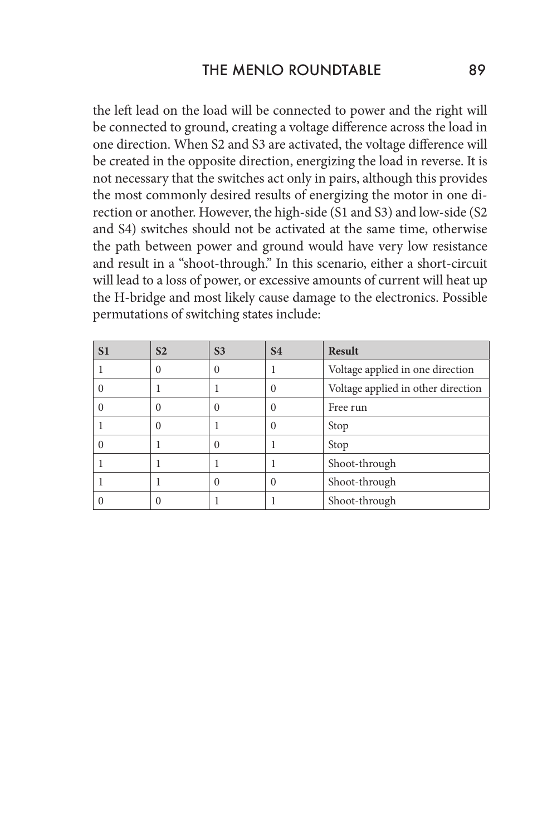the left lead on the load will be connected to power and the right will be connected to ground, creating a voltage difference across the load in one direction. When S2 and S3 are activated, the voltage difference will be created in the opposite direction, energizing the load in reverse. It is not necessary that the switches act only in pairs, although this provides the most commonly desired results of energizing the motor in one direction or another. However, the high-side (S1 and S3) and low-side (S2 and S4) switches should not be activated at the same time, otherwise the path between power and ground would have very low resistance and result in a "shoot-through." In this scenario, either a short-circuit will lead to a loss of power, or excessive amounts of current will heat up the H-bridge and most likely cause damage to the electronics. Possible permutations of switching states include:

| S <sub>1</sub> | S <sub>2</sub> | S <sub>3</sub> | <b>S4</b> | <b>Result</b>                      |
|----------------|----------------|----------------|-----------|------------------------------------|
|                | $\Omega$       | $\Omega$       |           | Voltage applied in one direction   |
|                |                |                | 0         | Voltage applied in other direction |
|                | $\Omega$       | $\theta$       |           | Free run                           |
|                | $\Omega$       |                | 0         | Stop                               |
|                |                | $\Omega$       |           | Stop                               |
|                |                |                |           | Shoot-through                      |
|                |                | 0              | 0         | Shoot-through                      |
|                | 0              |                |           | Shoot-through                      |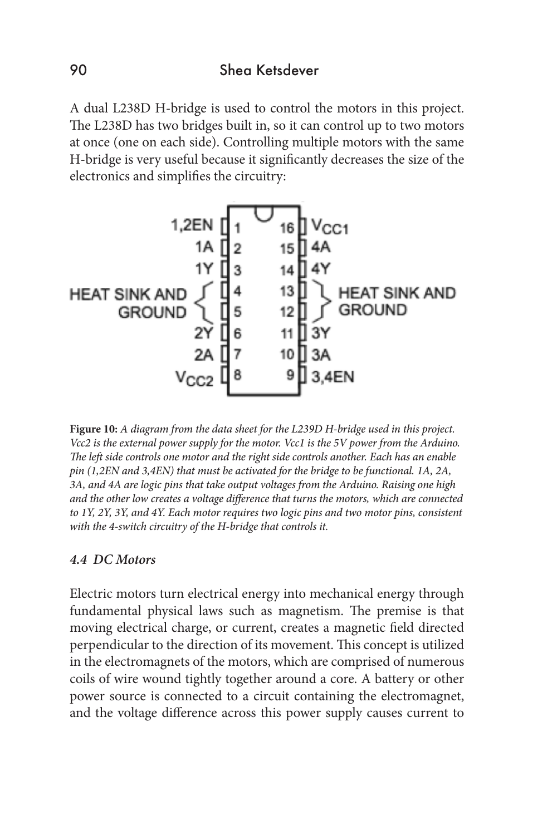A dual L238D H-bridge is used to control the motors in this project. The L238D has two bridges built in, so it can control up to two motors at once (one on each side). Controlling multiple motors with the same H-bridge is very useful because it significantly decreases the size of the electronics and simplifies the circuitry:



**Figure 10:** *A diagram from the data sheet for the L239D H-bridge used in this project. Vcc2 is the external power supply for the motor. Vcc1 is the 5V power from the Arduino. The left side controls one motor and the right side controls another. Each has an enable pin (1,2EN and 3,4EN) that must be activated for the bridge to be functional. 1A, 2A, 3A, and 4A are logic pins that take output voltages from the Arduino. Raising one high and the other low creates a voltage difference that turns the motors, which are connected to 1Y, 2Y, 3Y, and 4Y. Each motor requires two logic pins and two motor pins, consistent with the 4-switch circuitry of the H-bridge that controls it.* 

#### *4.4 DC Motors*

Electric motors turn electrical energy into mechanical energy through fundamental physical laws such as magnetism. The premise is that moving electrical charge, or current, creates a magnetic field directed perpendicular to the direction of its movement. This concept is utilized in the electromagnets of the motors, which are comprised of numerous coils of wire wound tightly together around a core. A battery or other power source is connected to a circuit containing the electromagnet, and the voltage difference across this power supply causes current to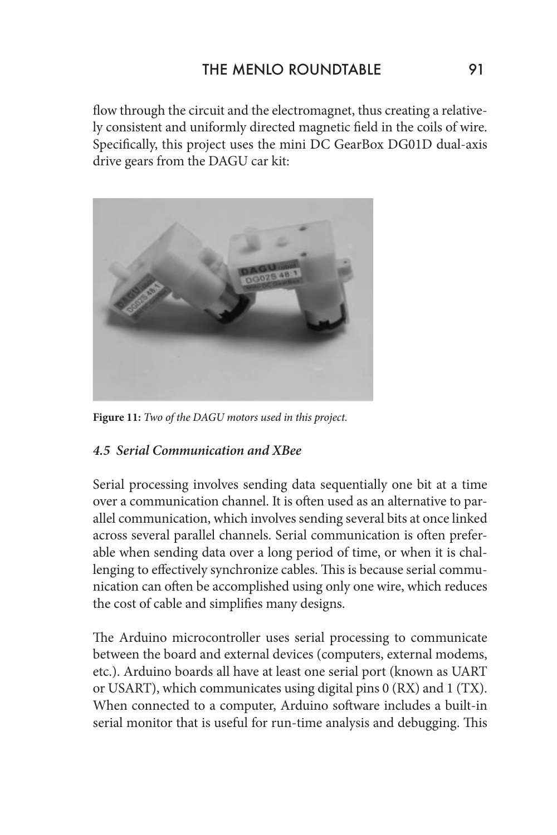flow through the circuit and the electromagnet, thus creating a relatively consistent and uniformly directed magnetic field in the coils of wire. Specifically, this project uses the mini DC GearBox DG01D dual-axis drive gears from the DAGU car kit:



**Figure 11:** *Two of the DAGU motors used in this project.* 

#### *4.5 Serial Communication and XBee*

Serial processing involves sending data sequentially one bit at a time over a communication channel. It is often used as an alternative to parallel communication, which involves sending several bits at once linked across several parallel channels. Serial communication is often preferable when sending data over a long period of time, or when it is challenging to effectively synchronize cables. This is because serial communication can often be accomplished using only one wire, which reduces the cost of cable and simplifies many designs.

The Arduino microcontroller uses serial processing to communicate between the board and external devices (computers, external modems, etc.). Arduino boards all have at least one serial port (known as UART or USART), which communicates using digital pins 0 (RX) and 1 (TX). When connected to a computer, Arduino software includes a built-in serial monitor that is useful for run-time analysis and debugging. This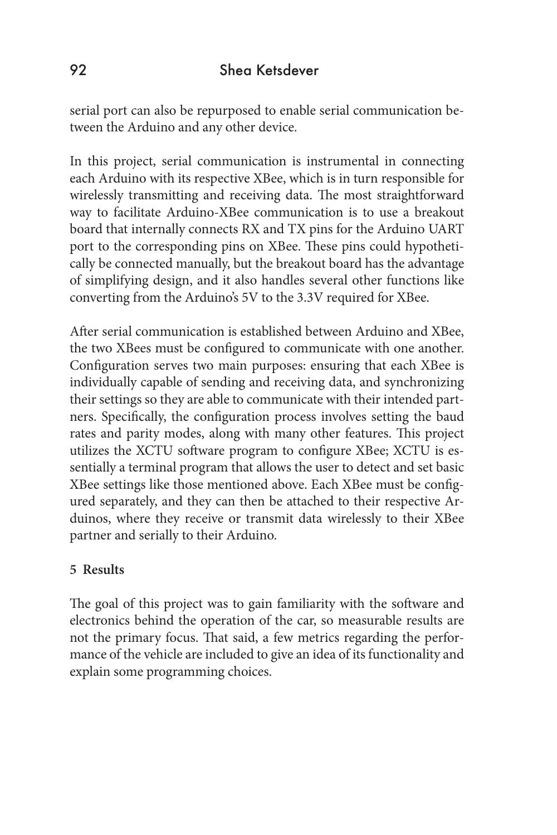serial port can also be repurposed to enable serial communication between the Arduino and any other device.

In this project, serial communication is instrumental in connecting each Arduino with its respective XBee, which is in turn responsible for wirelessly transmitting and receiving data. The most straightforward way to facilitate Arduino-XBee communication is to use a breakout board that internally connects RX and TX pins for the Arduino UART port to the corresponding pins on XBee. These pins could hypothetically be connected manually, but the breakout board has the advantage of simplifying design, and it also handles several other functions like converting from the Arduino's 5V to the 3.3V required for XBee.

After serial communication is established between Arduino and XBee, the two XBees must be configured to communicate with one another. Configuration serves two main purposes: ensuring that each XBee is individually capable of sending and receiving data, and synchronizing their settings so they are able to communicate with their intended partners. Specifically, the configuration process involves setting the baud rates and parity modes, along with many other features. This project utilizes the XCTU software program to configure XBee; XCTU is essentially a terminal program that allows the user to detect and set basic XBee settings like those mentioned above. Each XBee must be configured separately, and they can then be attached to their respective Arduinos, where they receive or transmit data wirelessly to their XBee partner and serially to their Arduino.

#### **5 Results**

The goal of this project was to gain familiarity with the software and electronics behind the operation of the car, so measurable results are not the primary focus. That said, a few metrics regarding the performance of the vehicle are included to give an idea of its functionality and explain some programming choices.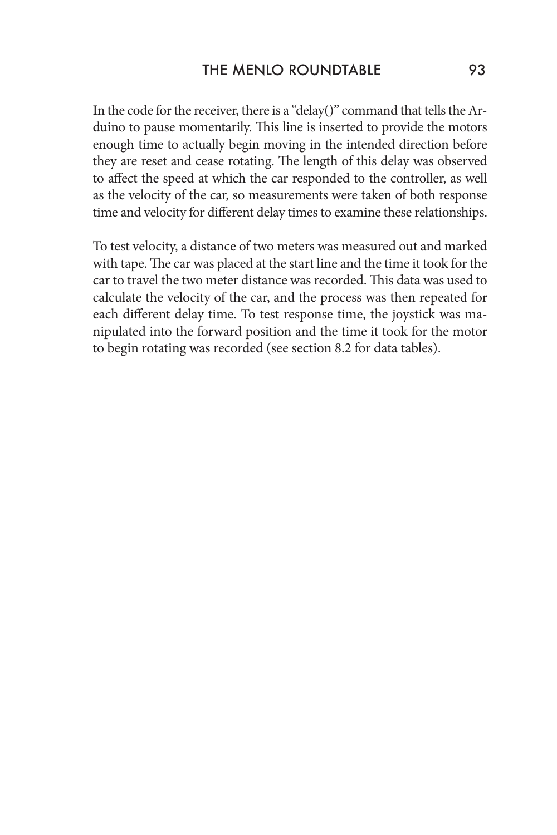In the code for the receiver, there is a "delay()" command that tells the Arduino to pause momentarily. This line is inserted to provide the motors enough time to actually begin moving in the intended direction before they are reset and cease rotating. The length of this delay was observed to affect the speed at which the car responded to the controller, as well as the velocity of the car, so measurements were taken of both response time and velocity for different delay times to examine these relationships.

To test velocity, a distance of two meters was measured out and marked with tape. The car was placed at the start line and the time it took for the car to travel the two meter distance was recorded. This data was used to calculate the velocity of the car, and the process was then repeated for each different delay time. To test response time, the joystick was manipulated into the forward position and the time it took for the motor to begin rotating was recorded (see section 8.2 for data tables).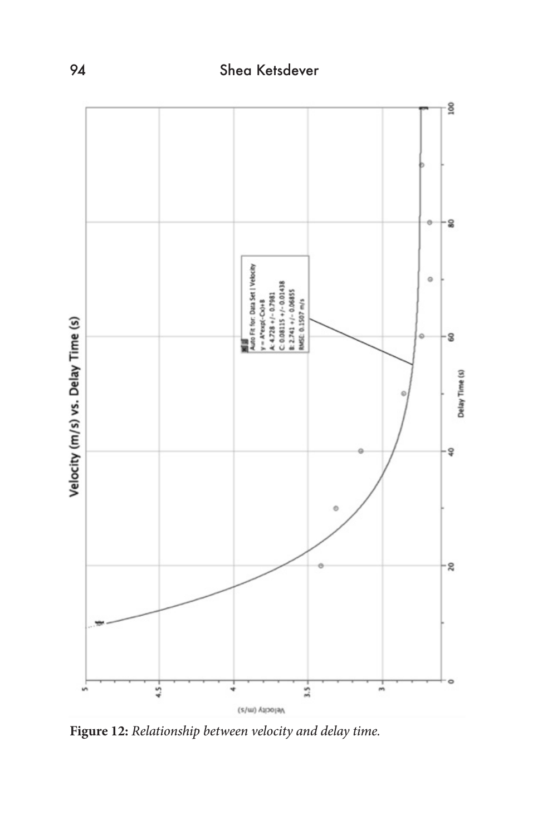

**Figure 12:** *Relationship between velocity and delay time.*

## 94 Shea Ketsdever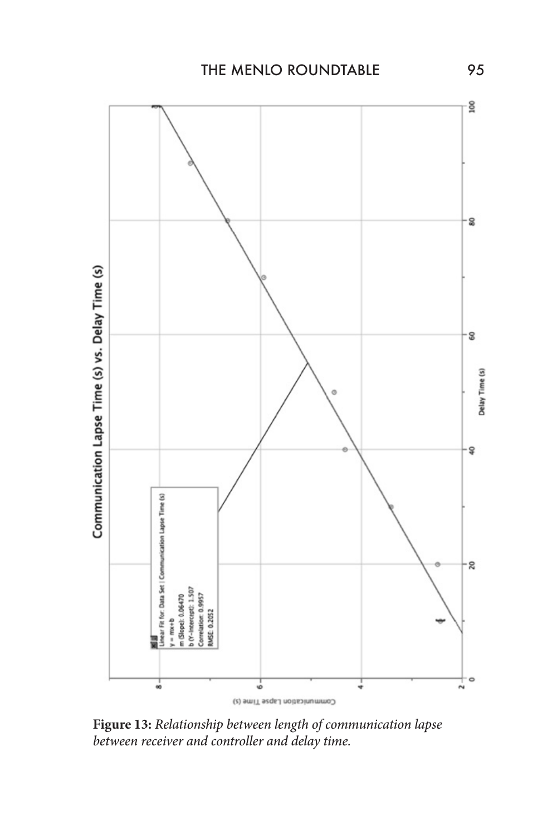

**Figure 13:** *Relationship between length of communication lapse between receiver and controller and delay time.*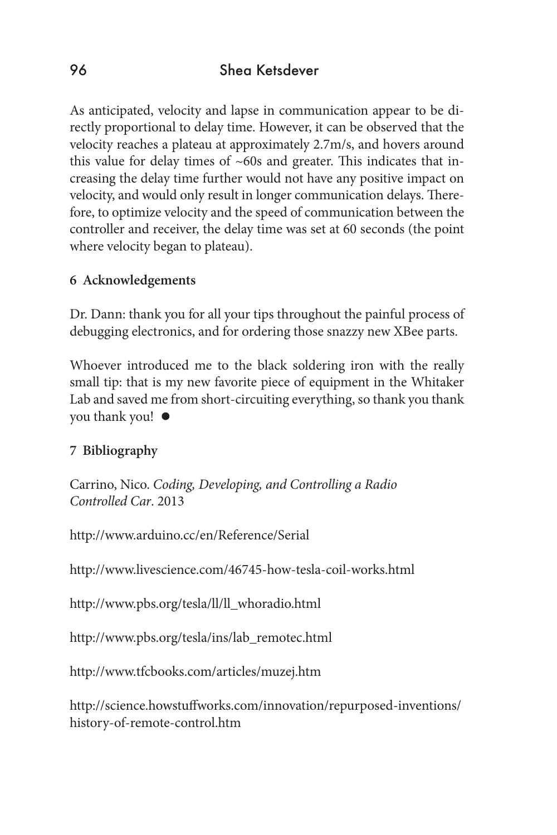As anticipated, velocity and lapse in communication appear to be directly proportional to delay time. However, it can be observed that the velocity reaches a plateau at approximately 2.7m/s, and hovers around this value for delay times of  $~60s$  and greater. This indicates that increasing the delay time further would not have any positive impact on velocity, and would only result in longer communication delays. Therefore, to optimize velocity and the speed of communication between the controller and receiver, the delay time was set at 60 seconds (the point where velocity began to plateau).

#### **6 Acknowledgements**

Dr. Dann: thank you for all your tips throughout the painful process of debugging electronics, and for ordering those snazzy new XBee parts.

Whoever introduced me to the black soldering iron with the really small tip: that is my new favorite piece of equipment in the Whitaker Lab and saved me from short-circuiting everything, so thank you thank you thank you!

#### **7 Bibliography**

Carrino, Nico. *Coding, Developing, and Controlling a Radio Controlled Car*. 2013

http://www.arduino.cc/en/Reference/Serial

http://www.livescience.com/46745-how-tesla-coil-works.html

http://www.pbs.org/tesla/ll/ll\_whoradio.html

http://www.pbs.org/tesla/ins/lab\_remotec.html

http://www.tfcbooks.com/articles/muzej.htm

http://science.howstuffworks.com/innovation/repurposed-inventions/ history-of-remote-control.htm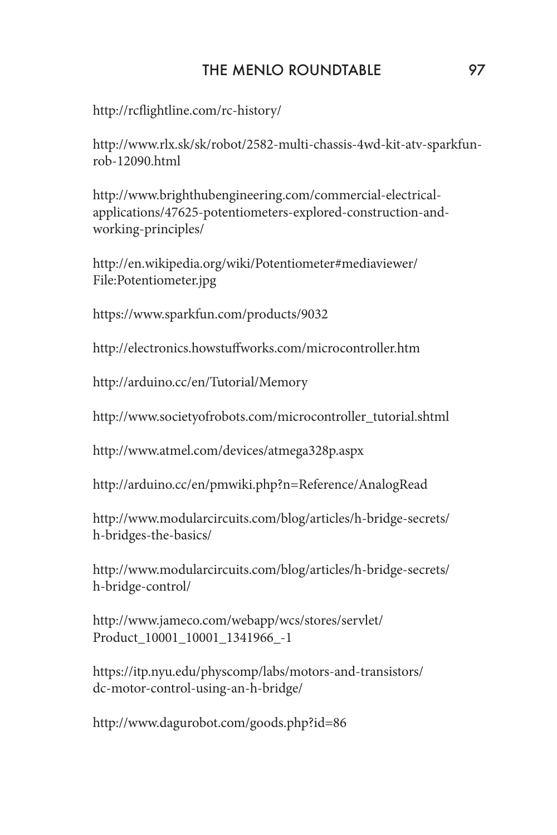## THE MENLO ROUNDTABLE 97

http://rcflightline.com/rc-history/

http://www.rlx.sk/sk/robot/2582-multi-chassis-4wd-kit-atv-sparkfunrob-12090.html

http://www.brighthubengineering.com/commercial-electricalapplications/47625-potentiometers-explored-construction-andworking-principles/

http://en.wikipedia.org/wiki/Potentiometer#mediaviewer/ File:Potentiometer.jpg

https://www.sparkfun.com/products/9032

http://electronics.howstuffworks.com/microcontroller.htm

http://arduino.cc/en/Tutorial/Memory

http://www.societyofrobots.com/microcontroller\_tutorial.shtml

http://www.atmel.com/devices/atmega328p.aspx

http://arduino.cc/en/pmwiki.php?n=Reference/AnalogRead

http://www.modularcircuits.com/blog/articles/h-bridge-secrets/ h-bridges-the-basics/

http://www.modularcircuits.com/blog/articles/h-bridge-secrets/ h-bridge-control/

http://www.jameco.com/webapp/wcs/stores/servlet/ Product\_10001\_10001\_1341966\_-1

https://itp.nyu.edu/physcomp/labs/motors-and-transistors/ dc-motor-control-using-an-h-bridge/

http://www.dagurobot.com/goods.php?id=86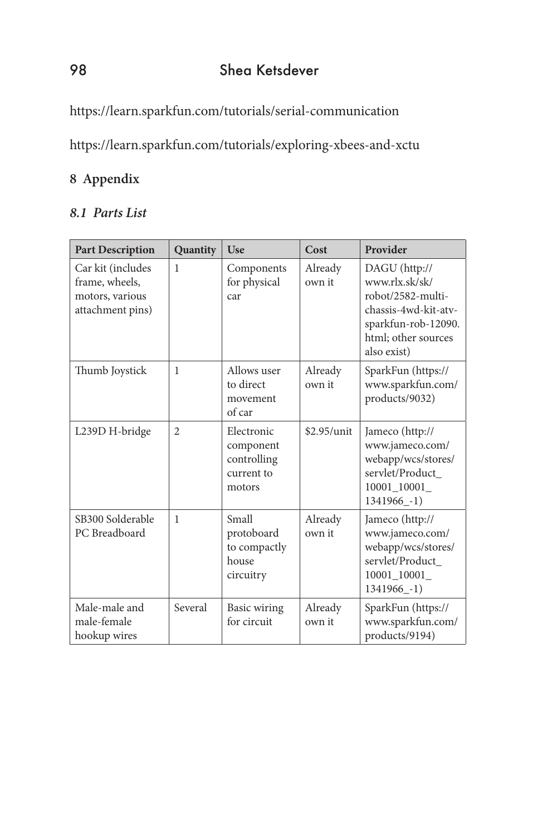https://learn.sparkfun.com/tutorials/serial-communication

https://learn.sparkfun.com/tutorials/exploring-xbees-and-xctu

## **8 Appendix**

## *8.1 Parts List*

| <b>Part Description</b>                                                    | Quantity       | Use                                                            | Cost              | Provider                                                                                                                                  |
|----------------------------------------------------------------------------|----------------|----------------------------------------------------------------|-------------------|-------------------------------------------------------------------------------------------------------------------------------------------|
| Car kit (includes<br>frame, wheels,<br>motors, various<br>attachment pins) | 1              | Components<br>for physical<br>car                              | Already<br>own it | DAGU (http://<br>www.rlx.sk/sk/<br>robot/2582-multi-<br>chassis-4wd-kit-atv-<br>sparkfun-rob-12090.<br>html; other sources<br>also exist) |
| Thumb Joystick                                                             | 1              | Allows user<br>to direct<br>movement<br>of car                 | Already<br>own it | SparkFun (https://<br>www.sparkfun.com/<br>products/9032)                                                                                 |
| L239D H-bridge                                                             | $\overline{2}$ | Electronic<br>component<br>controlling<br>current to<br>motors | $$2.95/$ unit     | Jameco (http://<br>www.jameco.com/<br>webapp/wcs/stores/<br>servlet/Product<br>10001_10001_<br>1341966_-1)                                |
| SB300 Solderable<br>PC Breadboard                                          | $\mathbf{1}$   | Small<br>protoboard<br>to compactly<br>house<br>circuitry      | Already<br>own it | Jameco (http://<br>www.jameco.com/<br>webapp/wcs/stores/<br>servlet/Product_<br>10001_10001_<br>1341966 -1)                               |
| Male-male and<br>male-female<br>hookup wires                               | Several        | Basic wiring<br>for circuit                                    | Already<br>own it | SparkFun (https://<br>www.sparkfun.com/<br>products/9194)                                                                                 |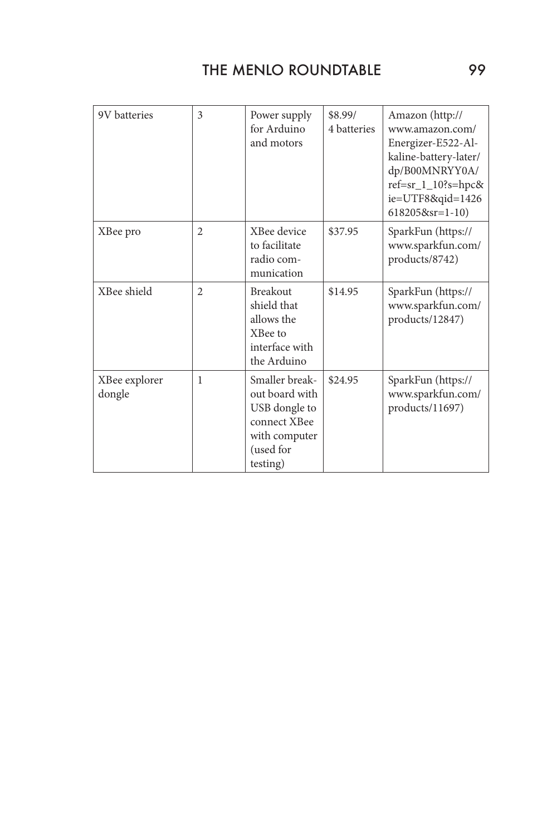| 9V batteries            | 3              | Power supply<br>for Arduino<br>and motors                                                                   | \$8.99/<br>4 batteries | Amazon (http://<br>www.amazon.com/<br>Energizer-E522-Al-<br>kaline-battery-later/<br>dp/B00MNRYY0A/<br>$ref=sr_1_10$ ?s=hpc&<br>ie=UTF8&qid=1426<br>$6182058sr=1-10$ |
|-------------------------|----------------|-------------------------------------------------------------------------------------------------------------|------------------------|----------------------------------------------------------------------------------------------------------------------------------------------------------------------|
| XBee pro                | $\overline{2}$ | XBee device<br>to facilitate<br>radio com-<br>munication                                                    | \$37.95                | SparkFun (https://<br>www.sparkfun.com/<br>products/8742)                                                                                                            |
| XBee shield             | $\overline{2}$ | <b>Breakout</b><br>shield that<br>allows the<br>XBee to<br>interface with<br>the Arduino                    | \$14.95                | SparkFun (https://<br>www.sparkfun.com/<br>products/12847)                                                                                                           |
| XBee explorer<br>dongle | 1              | Smaller break-<br>out board with<br>USB dongle to<br>connect XBee<br>with computer<br>(used for<br>testing) | \$24.95                | SparkFun (https://<br>www.sparkfun.com/<br>products/11697)                                                                                                           |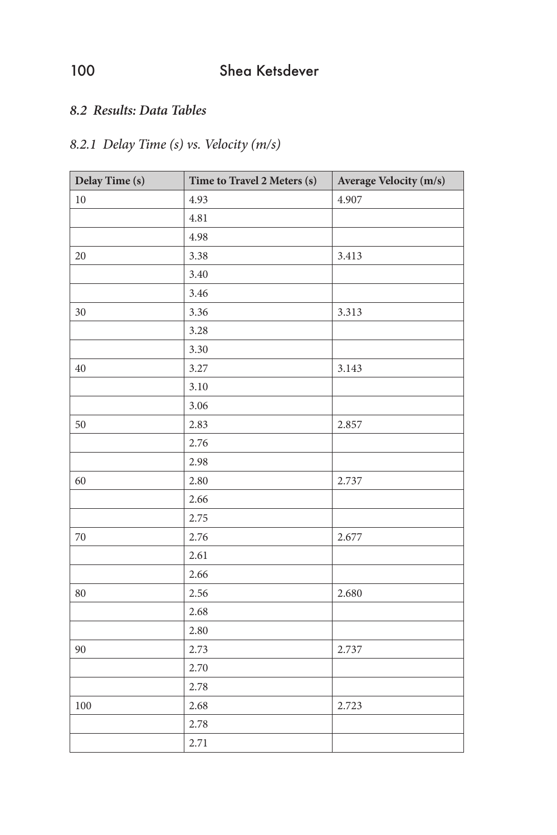## *8.2 Results: Data Tables*

## *8.2.1 Delay Time (s) vs. Velocity (m/s)*

| Delay Time (s) | Time to Travel 2 Meters (s) | Average Velocity (m/s) |
|----------------|-----------------------------|------------------------|
| $10\,$         | 4.93                        | 4.907                  |
|                | 4.81                        |                        |
|                | 4.98                        |                        |
| $20\,$         | 3.38                        | 3.413                  |
|                | 3.40                        |                        |
|                | 3.46                        |                        |
| $30\,$         | 3.36                        | 3.313                  |
|                | 3.28                        |                        |
|                | 3.30                        |                        |
| $40\,$         | 3.27                        | 3.143                  |
|                | 3.10                        |                        |
|                | 3.06                        |                        |
| 50             | 2.83                        | 2.857                  |
|                | 2.76                        |                        |
|                | 2.98                        |                        |
| 60             | 2.80                        | 2.737                  |
|                | 2.66                        |                        |
|                | 2.75                        |                        |
| $70\,$         | 2.76                        | 2.677                  |
|                | 2.61                        |                        |
|                | 2.66                        |                        |
| 80             | 2.56                        | 2.680                  |
|                | 2.68                        |                        |
|                | 2.80                        |                        |
| 90             | 2.73                        | 2.737                  |
|                | 2.70                        |                        |
|                | 2.78                        |                        |
| 100            | 2.68                        | 2.723                  |
|                | 2.78                        |                        |
|                | 2.71                        |                        |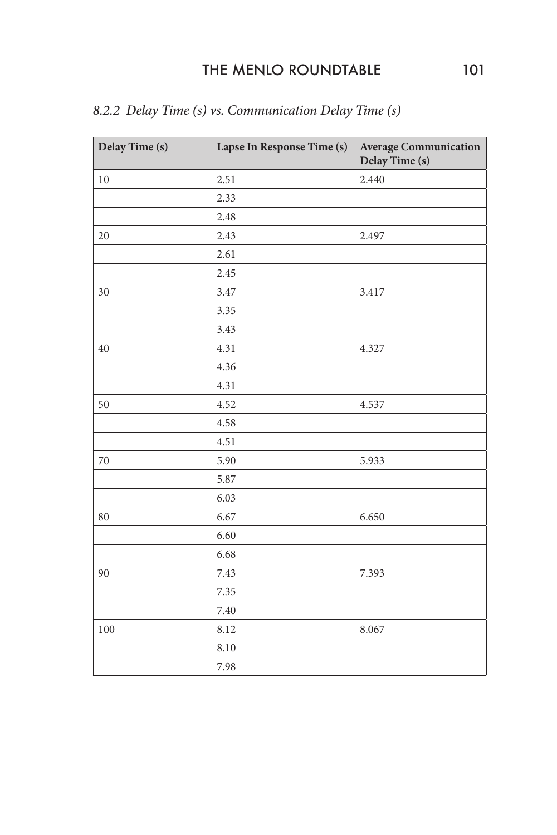## THE MENLO ROUNDTABLE 101

| Delay Time (s) | Lapse In Response Time (s) | <b>Average Communication</b><br>Delay Time (s) |
|----------------|----------------------------|------------------------------------------------|
| 10             | 2.51                       | 2.440                                          |
|                | 2.33                       |                                                |
|                | 2.48                       |                                                |
| 20             | 2.43                       | 2.497                                          |
|                | 2.61                       |                                                |
|                | 2.45                       |                                                |
| 30             | 3.47                       | 3.417                                          |
|                | 3.35                       |                                                |
|                | 3.43                       |                                                |
| 40             | 4.31                       | 4.327                                          |
|                | 4.36                       |                                                |
|                | 4.31                       |                                                |
| 50             | 4.52                       | 4.537                                          |
|                | 4.58                       |                                                |
|                | 4.51                       |                                                |
| $70\,$         | 5.90                       | 5.933                                          |
|                | 5.87                       |                                                |
|                | 6.03                       |                                                |
| 80             | 6.67                       | 6.650                                          |
|                | 6.60                       |                                                |
|                | 6.68                       |                                                |
| 90             | 7.43                       | 7.393                                          |
|                | 7.35                       |                                                |
|                | 7.40                       |                                                |
| 100            | 8.12                       | 8.067                                          |
|                | 8.10                       |                                                |
|                | 7.98                       |                                                |

## *8.2.2 Delay Time (s) vs. Communication Delay Time (s)*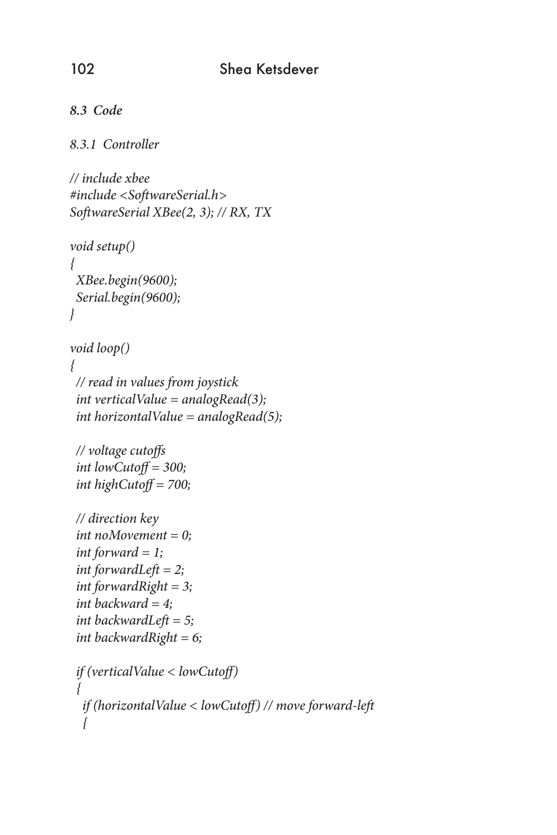```
8.3 Code
```
#### *8.3.1 Controller*

```
// include xbee
#include <SoftwareSerial.h>
SoftwareSerial XBee(2, 3); // RX, TX
```

```
void setup()
{
  XBee.begin(9600);
  Serial.begin(9600);
}
```

```
void loop()
{
 // read in values from joystick
  int verticalValue = analogRead(3);
  int horizontalValue = analogRead(5);
```

```
 // voltage cutoffs
 int lowCutoff = 300;
 int highCutoff = 700;
```

```
 // direction key
 int noMovement = 0;
 int forward = 1;
 int forwardLeft = 2;
 int forwardRight = 3;
 int backward = 4;
 int backwardLeft = 5;
 int backwardRight = 6;
```

```
 if (verticalValue < lowCutoff)
 {
   if (horizontalValue < lowCutoff) // move forward-left
 {
```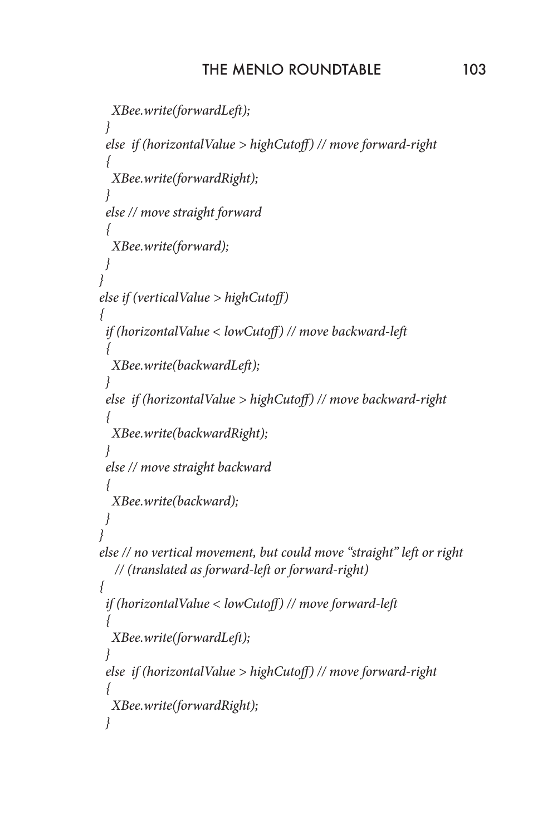```
 XBee.write(forwardLeft);
 }
   else if (horizontalValue > highCutoff) // move forward-right
 {
    XBee.write(forwardRight);
 }
   else // move straight forward
 {
    XBee.write(forward);
   }
 }
 else if (verticalValue > highCutoff)
 {
   if (horizontalValue < lowCutoff) // move backward-left
 {
    XBee.write(backwardLeft);
 }
   else if (horizontalValue > highCutoff) // move backward-right
 {
    XBee.write(backwardRight);
 }
   else // move straight backward
 {
    XBee.write(backward);
 }
 }
 else // no vertical movement, but could move "straight" left or right 
    // (translated as forward-left or forward-right)
 {
   if (horizontalValue < lowCutoff) // move forward-left
 {
    XBee.write(forwardLeft);
 }
   else if (horizontalValue > highCutoff) // move forward-right
 {
    XBee.write(forwardRight);
   }
```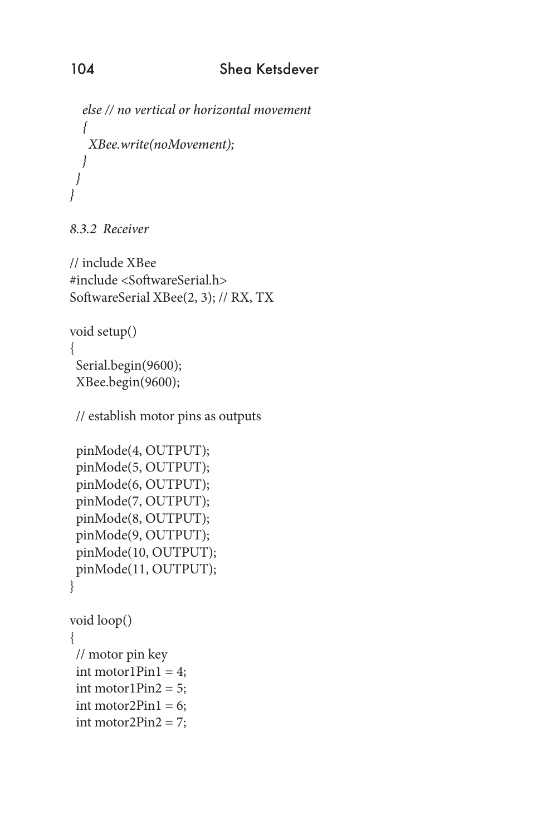```
 else // no vertical or horizontal movement
   {
    XBee.write(noMovement);
   }
 }
}
```
*8.3.2 Receiver*

// include XBee #include <SoftwareSerial.h> SoftwareSerial XBee(2, 3); // RX, TX

```
void setup()
```
{

 Serial.begin(9600); XBee.begin(9600);

// establish motor pins as outputs

```
 pinMode(4, OUTPUT);
 pinMode(5, OUTPUT);
 pinMode(6, OUTPUT);
 pinMode(7, OUTPUT);
 pinMode(8, OUTPUT);
 pinMode(9, OUTPUT);
 pinMode(10, OUTPUT);
 pinMode(11, OUTPUT);
}
```

```
void loop()
{
  // motor pin key
 int motor1Pin1 = 4;
 int motor1Pin2 = 5;
 int motor2Pin1 = 6;
  int motor2Pin2 = 7;
```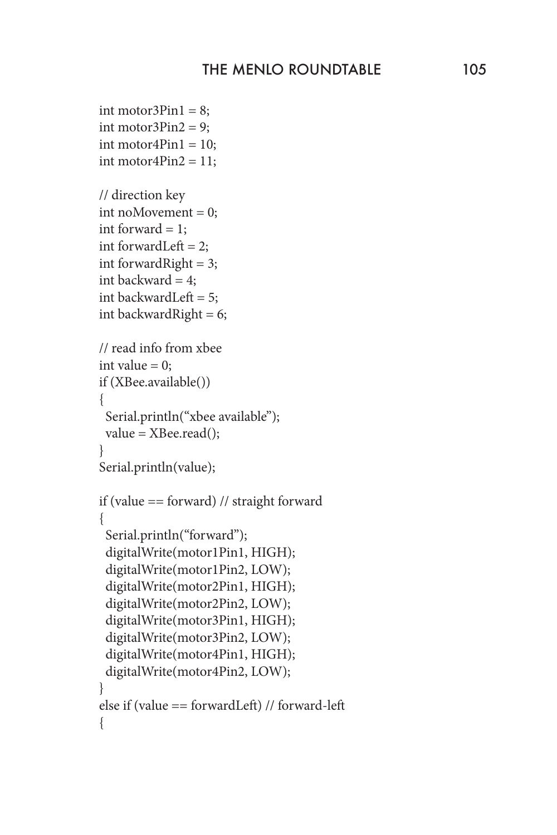```
int motor3Pin1 = 8;
int motor3Pin2 = 9;
int motor4Pin1 = 10;
int motor4Pin2 = 11;
 // direction key
 int noMovement = 0;
int forward = 1;
int forwardLeft = 2;
int forward Right = 3;
int backward = 4;
 int backwardLeft = 5;
 int backwardRight = 6;
 // read info from xbee
int value = 0;
 if (XBee.available())
 {
   Serial.println("xbee available");
   value = XBee.read();
 }
 Serial.println(value);
 if (value == forward) // straight forward
  {
   Serial.println("forward");
   digitalWrite(motor1Pin1, HIGH);
   digitalWrite(motor1Pin2, LOW);
   digitalWrite(motor2Pin1, HIGH);
   digitalWrite(motor2Pin2, LOW);
   digitalWrite(motor3Pin1, HIGH);
   digitalWrite(motor3Pin2, LOW);
   digitalWrite(motor4Pin1, HIGH);
   digitalWrite(motor4Pin2, LOW);
  }
 else if (value == forwardLeft) // forward-left
 {
```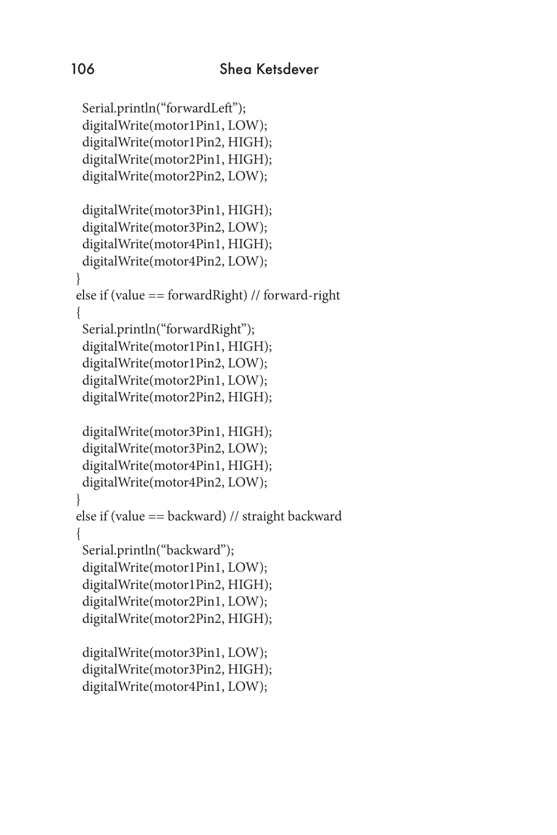```
 Serial.println("forwardLeft");
  digitalWrite(motor1Pin1, LOW);
   digitalWrite(motor1Pin2, HIGH);
   digitalWrite(motor2Pin1, HIGH);
   digitalWrite(motor2Pin2, LOW);
  digitalWrite(motor3Pin1, HIGH);
  digitalWrite(motor3Pin2, LOW);
  digitalWrite(motor4Pin1, HIGH);
  digitalWrite(motor4Pin2, LOW);
  }
  else if (value == forwardRight) // forward-right
 {
  Serial.println("forwardRight");
   digitalWrite(motor1Pin1, HIGH);
   digitalWrite(motor1Pin2, LOW);
   digitalWrite(motor2Pin1, LOW);
   digitalWrite(motor2Pin2, HIGH);
   digitalWrite(motor3Pin1, HIGH);
   digitalWrite(motor3Pin2, LOW);
   digitalWrite(motor4Pin1, HIGH);
   digitalWrite(motor4Pin2, LOW);
  }
 else if (value == backward) // straight backward
 {
   Serial.println("backward");
  digitalWrite(motor1Pin1, LOW);
  digitalWrite(motor1Pin2, HIGH);
   digitalWrite(motor2Pin1, LOW);
   digitalWrite(motor2Pin2, HIGH);
   digitalWrite(motor3Pin1, LOW);
   digitalWrite(motor3Pin2, HIGH);
   digitalWrite(motor4Pin1, LOW);
```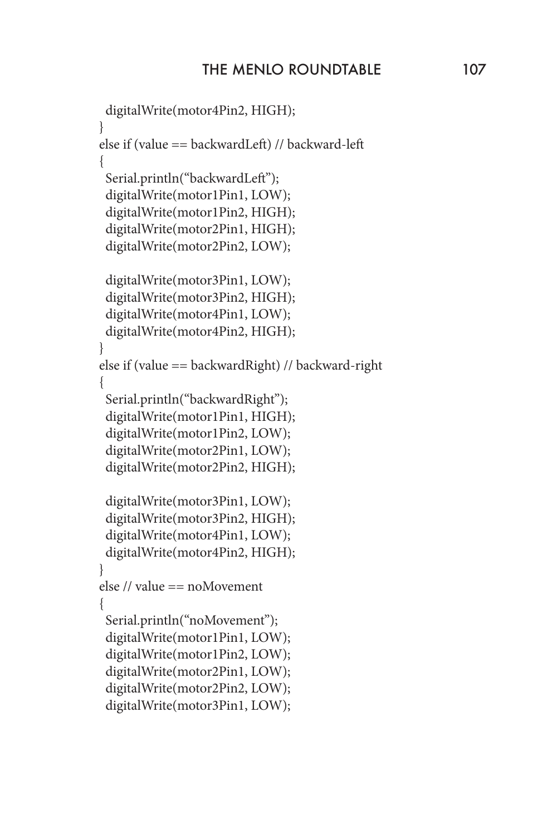```
 digitalWrite(motor4Pin2, HIGH);
  }
 else if (value == backwardLeft) // backward-left
 {
  Serial.println("backwardLeft");
   digitalWrite(motor1Pin1, LOW);
   digitalWrite(motor1Pin2, HIGH);
   digitalWrite(motor2Pin1, HIGH);
   digitalWrite(motor2Pin2, LOW);
   digitalWrite(motor3Pin1, LOW);
   digitalWrite(motor3Pin2, HIGH);
   digitalWrite(motor4Pin1, LOW);
  digitalWrite(motor4Pin2, HIGH);
 }
 else if (value == backwardRight) // backward-right
 {
   Serial.println("backwardRight");
   digitalWrite(motor1Pin1, HIGH);
   digitalWrite(motor1Pin2, LOW);
   digitalWrite(motor2Pin1, LOW);
   digitalWrite(motor2Pin2, HIGH);
   digitalWrite(motor3Pin1, LOW);
   digitalWrite(motor3Pin2, HIGH);
   digitalWrite(motor4Pin1, LOW);
  digitalWrite(motor4Pin2, HIGH);
  }
 else // value == noMovement
 {
   Serial.println("noMovement");
   digitalWrite(motor1Pin1, LOW);
   digitalWrite(motor1Pin2, LOW);
   digitalWrite(motor2Pin1, LOW);
   digitalWrite(motor2Pin2, LOW);
   digitalWrite(motor3Pin1, LOW);
```